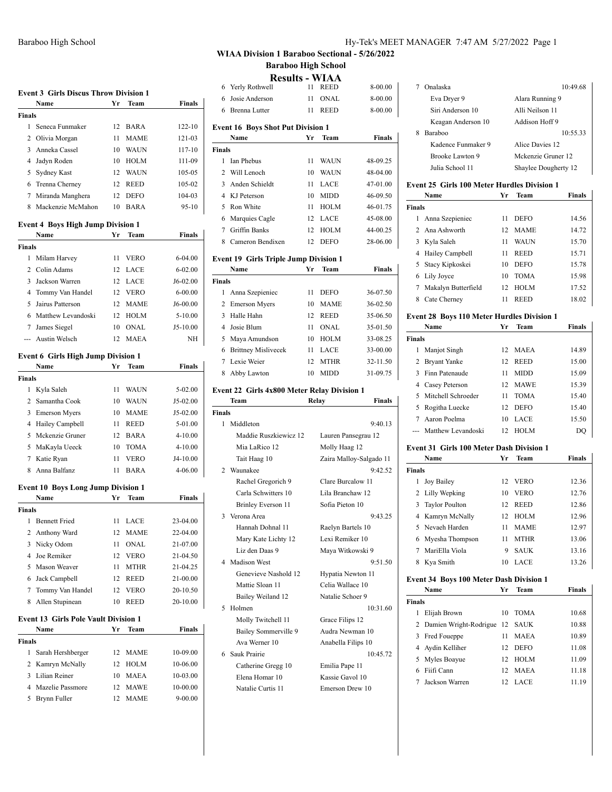# Baraboo High School Hy-Tek's MEET MANAGER 7:47 AM 5/27/2022 Page 1

# **WIAA Division 1 Baraboo Sectional - 5/26/2022 Baraboo High School**

**Results - WIAA**

|                    | Name                                              | Yr       | Team         | <b>Finals</b>           | 6      |
|--------------------|---------------------------------------------------|----------|--------------|-------------------------|--------|
| Finals             |                                                   |          |              |                         | 6      |
| 1                  | Seneca Funmaker                                   | 12       | BARA         | $122 - 10$              | Even   |
| $\overline{c}$     | Olivia Morgan                                     | 11       | <b>MAME</b>  | 121-03                  |        |
| 3                  | Anneka Cassel                                     | 10       | <b>WAUN</b>  | 117-10                  | Finals |
|                    | 4 Jadyn Roden                                     | 10       | HOLM         | 111-09                  | 1      |
| 5                  | Sydney Kast                                       | 12       | <b>WAUN</b>  | 105-05                  | 2      |
|                    | 6 Trenna Cherney                                  | 12       | REED         | 105-02                  | 3      |
| 7                  | Miranda Manghera                                  | 12       | <b>DEFO</b>  | 104-03                  | 4      |
| 8                  | Mackenzie McMahon                                 | 10       | <b>BARA</b>  | $95-10$                 | 5      |
|                    | <b>Event 4 Boys High Jump Division 1</b><br>Name  | Yr       | Team         | <b>Finals</b>           | 6<br>7 |
| <b>Finals</b>      |                                                   |          |              |                         | 8      |
| 1                  | Milam Harvey                                      | 11       | <b>VERO</b>  | 6-04.00                 | Even   |
|                    | 2 Colin Adams                                     | 12       | LACE         | $6 - 02.00$             |        |
|                    | 3 Jackson Warren                                  | 12       | LACE         | J6-02.00                | Finals |
| $\overline{4}$     | Tommy Van Handel                                  | 12       | <b>VERO</b>  | $6 - 00.00$             | 1      |
| 5                  | Jairus Patterson                                  | 12       | <b>MAME</b>  | J6-00.00                | 2      |
|                    | 6 Matthew Levandoski                              | 12       | <b>HOLM</b>  | $5 - 10.00$             | 3      |
| 7                  | James Siegel                                      | 10       | <b>ONAL</b>  | $J5-10.00$              | 4      |
|                    | <b>Austin Welsch</b>                              | 12       | <b>MAEA</b>  | NΗ                      | 5      |
|                    |                                                   |          |              |                         | 6      |
|                    | <b>Event 6 Girls High Jump Division 1</b><br>Name | Yr       | Team         | <b>Finals</b>           | 7      |
| <b>Finals</b>      |                                                   |          |              |                         | 8      |
| 1                  | Kyla Saleh                                        | 11       | WAUN         | 5-02.00                 | Event  |
|                    | 2 Samantha Cook                                   | 10       | WAUN         | J5-02.00                |        |
|                    | 3 Emerson Myers                                   | 10       | MAME         | J5-02.00                | Finals |
| 4                  | Hailey Campbell                                   | 11       | REED         | 5-01.00                 | 1      |
| 5                  | Mckenzie Gruner                                   | 12       | <b>BARA</b>  | 4-10.00                 |        |
|                    | 5 MaKayla Ueeck                                   | 10       | <b>TOMA</b>  | 4-10.00                 |        |
| 7                  | Katie Ryan                                        | 11       | <b>VERO</b>  | J4-10.00                |        |
| 8                  | Anna Balfanz                                      | 11       | <b>BARA</b>  | 4-06.00                 | 2      |
|                    |                                                   |          |              |                         |        |
|                    | <b>Event 10 Boys Long Jump Division 1</b>         |          |              |                         |        |
|                    | Name                                              | Yr       | Team         | <b>Finals</b>           |        |
| <b>Finals</b><br>1 |                                                   |          | LACE         | 23-04.00                | 3      |
|                    | <b>Bennett Fried</b>                              | 11<br>12 | <b>MAME</b>  |                         |        |
| 3                  | 2 Anthony Ward<br>Nicky Odom                      | 11       | ONAL         | 22-04.00<br>21-07.00    |        |
|                    | 4 Joe Remiker                                     | 12       | <b>VERO</b>  | 21-04.50                |        |
|                    | 5 Mason Weaver                                    | 11       | <b>MTHR</b>  | 21-04.25                | 4      |
|                    | 6 Jack Campbell                                   | 12       | REED         | 21-00.00                |        |
| 7                  | Tommy Van Handel                                  | 12       | <b>VERO</b>  | 20-10.50                |        |
| 8                  | Allen Stupinean                                   | 10       | REED         | 20-10.00                |        |
|                    |                                                   |          |              |                         | 5      |
|                    | <b>Event 13 Girls Pole Vault Division 1</b>       |          |              |                         |        |
|                    |                                                   | Yr       | Team         | <b>Finals</b>           |        |
|                    | Name                                              |          |              |                         |        |
| Finals             |                                                   |          |              |                         |        |
| 1                  | Sarah Hershberger                                 | 12       | <b>MAME</b>  | 10-09.00                |        |
| 2                  | Kamryn McNally                                    | 12       | HOLM         | 10-06.00                |        |
| 3                  | Lilian Reiner                                     | 10       | MAEA         | 10-03.00                |        |
| 5                  | 4 Mazelie Passmore<br>Brynn Fuller                | 12<br>12 | MAWE<br>MAME | 10-00.00<br>$9 - 00.00$ | 6      |

| 6              | Yerly Rothwell                                       | 11    | REED                                  | 8-00.00                 |
|----------------|------------------------------------------------------|-------|---------------------------------------|-------------------------|
| 6              | Josie Anderson                                       | 11    | ONAL                                  | 8-00.00                 |
| 6              | <b>Brenna Lutter</b>                                 | 11    | <b>REED</b>                           | 8-00.00                 |
|                | <b>Event 16 Boys Shot Put Division 1</b>             |       |                                       |                         |
|                | Name                                                 | Yr    | Team                                  | Finals                  |
| Finals         |                                                      |       |                                       |                         |
| 1              | Ian Phebus                                           | 11    | WAUN                                  | 48-09.25                |
| $\overline{2}$ | Will Lenoch                                          | 10    | <b>WAUN</b>                           | 48-04.00                |
| 3              | Anden Schieldt                                       | 11    | LACE                                  | 47-01.00                |
|                | 4 KJ Peterson                                        | 10    | <b>MIDD</b>                           | 46-09.50                |
| 5              | Ron White                                            | 11    | <b>HOLM</b>                           | 46-01.75                |
|                | 6 Marquies Cagle                                     | 12    | LACE                                  | 45-08.00                |
|                | 7 Griffin Banks                                      | 12    | <b>HOLM</b>                           | 44-00.25                |
| 8              | Cameron Bendixen                                     | 12    | <b>DEFO</b>                           | 28-06.00                |
|                |                                                      |       |                                       |                         |
|                | <b>Event 19 Girls Triple Jump Division 1</b><br>Name | Yr    | Team                                  | Finals                  |
| <b>Finals</b>  |                                                      |       |                                       |                         |
| 1              | Anna Szepieniec                                      | 11    | <b>DEFO</b>                           | 36-07.50                |
| 2              | <b>Emerson Myers</b>                                 | 10    | <b>MAME</b>                           | 36-02.50                |
|                | 3 Halle Hahn                                         | 12    | REED                                  | 35-06.50                |
|                | 4 Josie Blum                                         | 11    | <b>ONAL</b>                           | 35-01.50                |
|                | 5 Maya Amundson                                      | 10    | HOLM                                  | 33-08.25                |
|                | 6 Brittney Mislivecek                                | 11    | LACE                                  | 33-00.00                |
|                | 7 Lexie Weier                                        | 12    | <b>MTHR</b>                           | 32-11.50                |
| 8              | Abby Lawton                                          | 10    | <b>MIDD</b>                           | 31-09.75                |
|                |                                                      |       |                                       |                         |
|                | Event 22 Girls 4x800 Meter Relay Division 1          |       |                                       |                         |
|                | Team                                                 | Relay |                                       | Finals                  |
| Finals         |                                                      |       |                                       |                         |
| 1              | Middleton                                            |       |                                       | 9:40.13                 |
|                | Maddie Ruszkiewicz 12                                |       | Lauren Pansegrau 12                   |                         |
|                | Mia LaRico 12                                        |       | Molly Haag 12                         |                         |
|                | Tait Haag 10                                         |       |                                       | Zaira Malloy-Salgado 11 |
| 2              | Waunakee                                             |       |                                       | 9:42.52                 |
|                | Rachel Gregorich 9                                   |       | Clare Burcalow 11                     |                         |
|                | Carla Schwitters 10                                  |       | Lila Branchaw 12                      |                         |
|                | Brinley Everson 11                                   |       | Sofia Pieton 10                       |                         |
| 3              | Verona Area                                          |       |                                       | 9:43.25                 |
|                | Hannah Dohnal 11                                     |       | Raelyn Bartels 10                     |                         |
|                | Mary Kate Lichty 12<br>Liz den Daas 9                |       | Lexi Remiker 10                       |                         |
| 4              | <b>Madison West</b>                                  |       | Maya Witkowski 9                      | 9:51.50                 |
|                | Genevieve Nashold 12                                 |       |                                       |                         |
|                | Mattie Sloan 11                                      |       | Hypatia Newton 11<br>Celia Wallace 10 |                         |
|                |                                                      |       | Natalie Schoer 9                      |                         |
| 5              | Bailey Weiland 12<br>Holmen                          |       |                                       | 10:31.60                |
|                |                                                      |       |                                       |                         |
|                | Molly Twitchell 11                                   |       | Grace Filips 12<br>Audra Newman 10    |                         |
|                | Bailey Sommerville 9<br>Ava Werner 10                |       |                                       |                         |
| 6              | Sauk Prairie                                         |       | Anabella Filips 10                    | 10:45.72                |
|                |                                                      |       |                                       |                         |
|                | Catherine Gregg 10<br>Elena Homar 10                 |       | Emilia Pape 11<br>Kassie Gavol 10     |                         |
|                | Natalie Curtis 11                                    |       |                                       |                         |
|                |                                                      |       | Emerson Drew 10                       |                         |

| 7              | Onalaska                                           |    |                      | 10:49.68 |
|----------------|----------------------------------------------------|----|----------------------|----------|
|                | Eva Dryer 9                                        |    | Alara Running 9      |          |
|                | Siri Anderson 10                                   |    | Alli Neilson 11      |          |
|                | Keagan Anderson 10                                 |    | Addison Hoff 9       |          |
| 8              | Baraboo                                            |    |                      | 10:55.33 |
|                | Kadence Funmaker 9                                 |    | Alice Davies 12      |          |
|                | Brooke Lawton 9                                    |    | Mckenzie Gruner 12   |          |
|                | Julia School 11                                    |    | Shaylee Dougherty 12 |          |
|                |                                                    |    |                      |          |
|                | <b>Event 25 Girls 100 Meter Hurdles Division 1</b> |    |                      |          |
|                | Name                                               | Yr | <b>Team</b>          | Finals   |
| <b>Finals</b>  |                                                    |    |                      |          |
| 1              | Anna Szepieniec                                    | 11 | <b>DEFO</b>          | 14.56    |
| 2              | Ana Ashworth                                       | 12 | <b>MAME</b>          | 14.72    |
| 3              | Kyla Saleh                                         | 11 | <b>WAUN</b>          | 15.70    |
| 4              | Hailey Campbell                                    | 11 | <b>REED</b>          | 15.71    |
| 5              | Stacy Kipkoskei                                    | 10 | <b>DEFO</b>          | 15.78    |
| 6              | Lily Joyce                                         | 10 | <b>TOMA</b>          | 15.98    |
|                | 7 Makalyn Butterfield                              | 12 | <b>HOLM</b>          | 17.52    |
| 8              | Cate Cherney                                       | 11 | <b>REED</b>          | 18.02    |
|                | Event 28 Boys 110 Meter Hurdles Division 1         |    |                      |          |
|                | Name                                               | Yr | Team                 | Finals   |
| <b>Finals</b>  |                                                    |    |                      |          |
| 1              | Manjot Singh                                       | 12 | MAEA                 | 14.89    |
| 2              | <b>Bryant Yanke</b>                                | 12 | REED                 | 15.00    |
| 3              | Finn Patenaude                                     | 11 | <b>MIDD</b>          | 15.09    |
| $\overline{4}$ | Casey Peterson                                     | 12 | <b>MAWE</b>          | 15.39    |
| 5              | Mitchell Schroeder                                 | 11 | <b>TOMA</b>          | 15.40    |
| 5              | Rogitha Luecke                                     | 12 | <b>DEFO</b>          | 15.40    |
| 7              | Aaron Poelma                                       | 10 | LACE                 | 15.50    |
| ---            | Matthew Levandoski                                 | 12 | <b>HOLM</b>          | DQ       |
|                |                                                    |    |                      |          |
|                | <b>Event 31 Girls 100 Meter Dash Division 1</b>    |    |                      |          |
|                | Name                                               | Yr | Team                 | Finals   |
| <b>Finals</b>  |                                                    |    |                      |          |
| 1              | Joy Bailey                                         |    | 12 VERO              | 12.36    |
|                | 2 Lilly Wepking                                    | 10 | VERO                 | 12.76    |
| 3              | <b>Taylor Poulton</b>                              | 12 | REED                 | 12.86    |
|                | 4 Kamryn McNally                                   | 12 | <b>HOLM</b>          | 12.96    |
|                | 5 Nevaeh Harden                                    | 11 | <b>MAME</b>          | 12.97    |
|                | 6 Myesha Thompson                                  | 11 | <b>MTHR</b>          | 13.06    |
| 7              | MariElla Viola                                     | 9  | <b>SAUK</b>          | 13.16    |
| 8              | Kya Smith                                          | 10 | LACE                 | 13.26    |
|                | Event 34 Boys 100 Meter Dash Division 1            |    |                      |          |
|                | Name                                               | Yr | Team                 | Finals   |
| <b>Finals</b>  |                                                    |    |                      |          |
| 1              | Elijah Brown                                       | 10 | <b>TOMA</b>          | 10.68    |
| 2              | Damien Wright-Rodrigue                             | 12 | SAUK                 | 10.88    |
| 3              | Fred Foueppe                                       | 11 | MAEA                 | 10.89    |
|                | 4 Aydin Kelliher                                   |    | 12 DEFO              | 11.08    |
| 5              | Myles Boayue                                       | 12 | <b>HOLM</b>          | 11.09    |
| 6              | Fiifi Cann                                         | 12 | <b>MAEA</b>          | 11.18    |
| 7              | Jackson Warren                                     | 12 | LACE                 | 11.19    |
|                |                                                    |    |                      |          |
|                |                                                    |    |                      |          |
|                |                                                    |    |                      |          |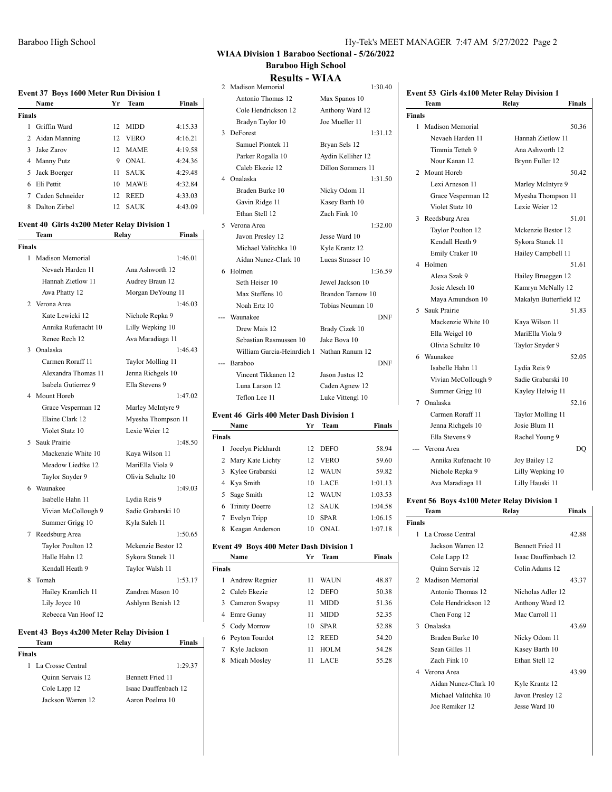**Finals** 

50.36

52.16

# **WIAA Division 1 Baraboo Sectional - 5/26/2022 Baraboo High School**

**Results - WIAA**

|               | RESUILS - WIAA                                                       |                   |            |                                             |                        |               |
|---------------|----------------------------------------------------------------------|-------------------|------------|---------------------------------------------|------------------------|---------------|
|               | 2 Madison Memorial                                                   |                   | 1:30.40    | Event 53 Girls 4x100 Meter Relay Division 1 |                        |               |
|               | Antonio Thomas 12                                                    | Max Spanos 10     |            | Team                                        | Relay                  | <b>Finals</b> |
|               | Cole Hendrickson 12                                                  | Anthony Ward 12   |            | <b>Finals</b>                               |                        |               |
|               | Bradyn Taylor 10                                                     | Joe Mueller 11    |            | 1 Madison Memorial                          |                        | 50.36         |
|               | 3 DeForest                                                           |                   | 1:31.12    | Nevaeh Harden 11                            | Hannah Zietlow 11      |               |
|               | Samuel Piontek 11                                                    | Bryan Sels 12     |            | Timmia Tetteh 9                             | Ana Ashworth 12        |               |
|               | Parker Rogalla 10                                                    | Aydin Kelliher 12 |            | Nour Kanan 12                               | Brynn Fuller 12        |               |
|               | Caleb Ekezie 12                                                      | Dillon Sommers 11 |            | 2 Mount Horeb                               |                        | 50.42         |
|               | 4 Onalaska                                                           |                   | 1:31.50    | Lexi Arneson 11                             | Marley McIntyre 9      |               |
|               | Braden Burke 10                                                      | Nicky Odom 11     |            | Grace Vesperman 12                          | Myesha Thompson 11     |               |
|               | Gavin Ridge 11                                                       | Kasey Barth 10    |            | Violet Statz 10                             | Lexie Weier 12         |               |
|               | Ethan Stell 12                                                       | Zach Fink 10      |            | 3 Reedsburg Area                            |                        | 51.01         |
|               | 5 Verona Area                                                        |                   | 1:32.00    | Taylor Poulton 12                           | Mckenzie Bestor 12     |               |
|               | Javon Presley 12                                                     | Jesse Ward 10     |            | Kendall Heath 9                             | Sykora Stanek 11       |               |
|               | Michael Valitchka 10                                                 | Kyle Krantz 12    |            | Emily Craker 10                             | Hailey Campbell 11     |               |
|               | Aidan Nunez-Clark 10                                                 | Lucas Strasser 10 |            | 4 Holmen                                    |                        | 51.61         |
|               | 6 Holmen                                                             |                   | 1:36.59    | Alexa Szak 9                                | Hailey Brueggen 12     |               |
|               | Seth Heiser 10                                                       | Jewel Jackson 10  |            | Josie Alesch 10                             | Kamryn McNally 12      |               |
|               | Max Steffens 10                                                      | Brandon Tarnow 10 |            | Maya Amundson 10                            | Makalyn Butterfield 12 |               |
|               | Noah Ertz 10                                                         | Tobias Neuman 10  |            | 5 Sauk Prairie                              |                        | 51.83         |
|               | --- Waunakee                                                         |                   | <b>DNF</b> | Mackenzie White 10                          | Kaya Wilson 11         |               |
|               | Drew Mais 12                                                         | Brady Cizek 10    |            | Ella Weigel 10                              | MariElla Viola 9       |               |
|               | Sebastian Rasmussen 10                                               | Jake Bova 10      |            | Olivia Schultz 10                           | Taylor Snyder 9        |               |
|               | William Garcia-Heinrdich 1 Nathan Ranum 12                           |                   |            | 6 Waunakee                                  |                        | 52.05         |
|               | --- Baraboo                                                          |                   | <b>DNF</b> | Isabelle Hahn 11                            | Lydia Reis 9           |               |
|               | Vincent Tikkanen 12                                                  | Jason Justus 12   |            | Vivian McCollough 9                         | Sadie Grabarski 10     |               |
|               | Luna Larson 12                                                       | Caden Agnew 12    |            | Summer Grigg 10                             | Kayley Helwig 11       |               |
|               | Teflon Lee 11                                                        | Luke Vittengl 10  |            | 7 Onalaska                                  |                        | 52.16         |
|               |                                                                      |                   |            | Carmen Roraff 11                            | Taylor Molling 11      |               |
|               | <b>Event 46 Girls 400 Meter Dash Division 1</b><br><b>Name</b><br>Yr | Team              | Finals     |                                             | Josie Blum 11          |               |
|               |                                                                      |                   |            | Jenna Richgels 10<br>Ella Stevens 9         |                        |               |
| <b>Finals</b> | 1 Jocelyn Pickhardt                                                  | DEFO              | 58.94      | --- Verona Area                             | Rachel Young 9         |               |
|               | 12<br>2 Mary Kate Lichty<br>12                                       | <b>VERO</b>       | 59.60      | Annika Rufenacht 10                         |                        | DQ            |
|               | 12                                                                   | WAUN              | 59.82      |                                             | Joy Bailey 12          |               |
|               | 3 Kylee Grabarski                                                    |                   |            | Nichole Repka 9                             | Lilly Wepking 10       |               |

# **Event 56 Boys 4x100 Meter Relay Division 1**

Ava Maradiaga 11 Lilly Hauski 11

|               | Team                 | Relay                   | Finals |
|---------------|----------------------|-------------------------|--------|
| <b>Finals</b> |                      |                         |        |
|               | 1 La Crosse Central  |                         | 42.88  |
|               | Jackson Warren 12    | <b>Bennett Fried 11</b> |        |
|               | Cole Lapp 12         | Isaac Dauffenbach 12    |        |
|               | Quinn Servais 12     | Colin Adams 12          |        |
|               | 2 Madison Memorial   |                         | 43.37  |
|               | Antonio Thomas 12    | Nicholas Adler 12       |        |
|               | Cole Hendrickson 12  | Anthony Ward 12         |        |
|               | Chen Fong 12         | Mac Carroll 11          |        |
| 3             | Onalaska             |                         | 43.69  |
|               | Braden Burke 10      | Nicky Odom 11           |        |
|               | Sean Gilles 11       | Kasey Barth 10          |        |
|               | Zach Fink 10         | Ethan Stell 12          |        |
|               | 4 Verona Area        |                         | 43.99  |
|               | Aidan Nunez-Clark 10 | Kyle Krantz 12          |        |
|               | Michael Valitchka 10 | Javon Presley 12        |        |
|               | Joe Remiker 12       | Jesse Ward 10           |        |
|               |                      |                         |        |

### **Event 37 Boys 1600 Meter Run Division 1**

|        | Name            | Vr  | <b>Team</b> | <b>Finals</b> |
|--------|-----------------|-----|-------------|---------------|
| Finals |                 |     |             |               |
|        | Griffin Ward    | 12  | <b>MIDD</b> | 4:15.33       |
|        | 2 Aidan Manning | 12  | <b>VERO</b> | 4:16.21       |
| 3      | Jake Zarov      | 12. | <b>MAME</b> | 4:19.58       |
|        | 4 Manny Putz    | 9   | ONAL.       | 4:24.36       |
|        | 5 Jack Boerger  | 11  | <b>SAUK</b> | 4:29.48       |
|        | 6 Eli Pettit    | 10  | <b>MAWE</b> | 4:32.84       |
|        | Caden Schneider | 12  | <b>REED</b> | 4:33.03       |
| 8      | Dalton Zirbel   | 12. | <b>SAUK</b> | 4:43.09       |

### **Event 40 Girls 4x200 Meter Relay Division 1**

|               | Team                    | Relay              | Finals  |
|---------------|-------------------------|--------------------|---------|
| <b>Finals</b> |                         |                    |         |
| 1             | <b>Madison Memorial</b> |                    | 1:46.01 |
|               | Nevaeh Harden 11        | Ana Ashworth 12    |         |
|               | Hannah Zietlow 11       | Audrey Braun 12    |         |
|               | Awa Phatty 12           | Morgan DeYoung 11  |         |
|               | 2 Verona Area           |                    | 1:46.03 |
|               | Kate Lewicki 12         | Nichole Repka 9    |         |
|               | Annika Rufenacht 10     | Lilly Wepking 10   |         |
|               | Renee Rech 12           | Ava Maradiaga 11   |         |
| 3             | Onalaska                |                    | 1:46.43 |
|               | Carmen Roraff 11        | Taylor Molling 11  |         |
|               | Alexandra Thomas 11     | Jenna Richgels 10  |         |
|               | Isabela Gutierrez 9     | Ella Stevens 9     |         |
|               | 4 Mount Horeb           |                    | 1:47.02 |
|               | Grace Vesperman 12      | Marley McIntyre 9  |         |
|               | Elaine Clark 12         | Myesha Thompson 11 |         |
|               | Violet Statz 10         | Lexie Weier 12     |         |
| 5             | Sauk Prairie            |                    | 1:48.50 |
|               | Mackenzie White 10      | Kaya Wilson 11     |         |
|               | Meadow Liedtke 12       | MariElla Viola 9   |         |
|               | Taylor Snyder 9         | Olivia Schultz 10  |         |
|               | 6 Waunakee              |                    | 1:49.03 |
|               | Isabelle Hahn 11        | Lydia Reis 9       |         |
|               | Vivian McCollough 9     | Sadie Grabarski 10 |         |
|               | Summer Grigg 10         | Kyla Saleh 11      |         |
| 7             | Reedsburg Area          |                    | 1:50.65 |
|               | Taylor Poulton 12       | Mckenzie Bestor 12 |         |
|               | Halle Hahn 12           | Sykora Stanek 11   |         |
|               | Kendall Heath 9         | Taylor Walsh 11    |         |
| 8             | Tomah                   |                    | 1:53.17 |
|               | Hailey Kramlich 11      | Zandrea Mason 10   |         |
|               | Lily Joyce 10           | Ashlynn Benish 12  |         |
|               | Rebecca Van Hoof 12     |                    |         |

### **Event 43 Boys 4x200 Meter Relay Division 1**

| Team                   | Relay                   | <b>Finals</b> |  |
|------------------------|-------------------------|---------------|--|
| <b>Finals</b>          |                         |               |  |
| La Crosse Central<br>L |                         | 1:29.37       |  |
| Quinn Servais 12       | <b>Bennett Fried 11</b> |               |  |
| Cole Lapp 12           | Isaac Dauffenbach 12    |               |  |
| Jackson Warren 12      | Aaron Poelma 10         |               |  |

### 2 Mary Ka 3 Kylee Grabarski 12 WAUN 59.82

| 4 Kya Smith       |     | 10 LACE     | 1:01.13 |
|-------------------|-----|-------------|---------|
| 5 Sage Smith      | 12. | WAUN        | 1:03.53 |
| 6 Trinity Doerre  |     | 12 SAUK     | 1:04.58 |
| 7 Evelyn Tripp    |     | 10 SPAR     | 1:06.15 |
| 8 Keagan Anderson |     | <b>ONAL</b> | 1:07.18 |

### **Event 49 Boys 400 Meter Dash Division 1**

|               | Name             | Vг | Team        | Finals |
|---------------|------------------|----|-------------|--------|
| <b>Finals</b> |                  |    |             |        |
| $\mathbf{1}$  | Andrew Regnier   | 11 | WAUN        | 48.87  |
|               | 2 Caleb Ekezie   | 12 | <b>DEFO</b> | 50.38  |
|               | 3 Cameron Swapsy | 11 | <b>MIDD</b> | 51.36  |
|               | 4 Emre Gunay     | 11 | <b>MIDD</b> | 52.35  |
|               | 5 Cody Morrow    | 10 | <b>SPAR</b> | 52.88  |
|               | 6 Peyton Tourdot | 12 | <b>REED</b> | 54.20  |
|               | Kyle Jackson     | 11 | <b>HOLM</b> | 54.28  |
| 8             | Micah Mosley     | 11 | <b>LACE</b> | 55.28  |
|               |                  |    |             |        |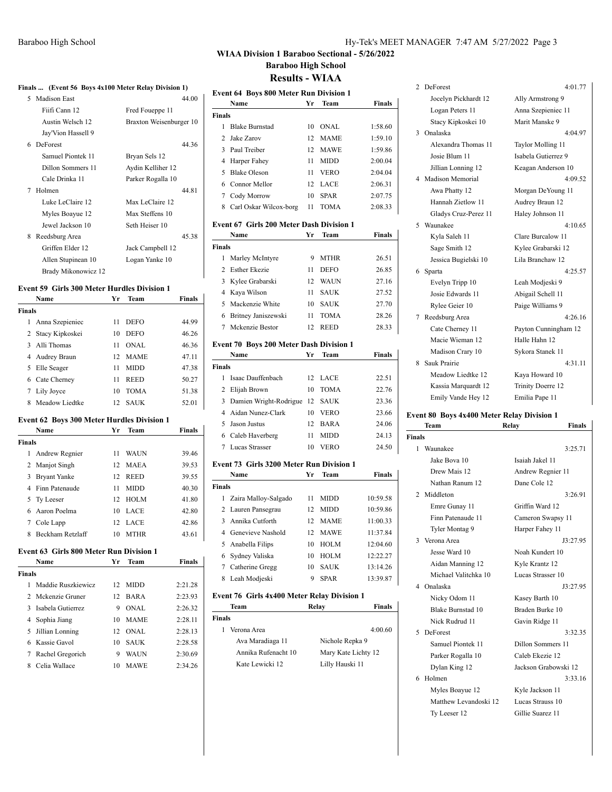# **WIAA Division 1 Baraboo Sectional - 5/26/2022 Baraboo High School**

# **Results - WIAA**

| Finals  (Event 56 Boys 4x100 Meter Relay Division 1) |                         |  |  |  |
|------------------------------------------------------|-------------------------|--|--|--|
| 5 Madison East                                       | 44.00                   |  |  |  |
| Fiifi Cann 12                                        | Fred Foueppe 11         |  |  |  |
| Austin Welsch 12                                     | Braxton Weisenburger 10 |  |  |  |
| Jay'Vion Hassell 9                                   |                         |  |  |  |
| 6 DeForest                                           | 44.36                   |  |  |  |
| Samuel Piontek 11                                    | Bryan Sels 12           |  |  |  |
| Dillon Sommers 11                                    | Aydin Kelliher 12       |  |  |  |
| Cale Drinka 11                                       | Parker Rogalla 10       |  |  |  |
| Holmen<br>7                                          | 44.81                   |  |  |  |
| Luke LeClaire 12                                     | Max LeClaire 12         |  |  |  |
| Myles Boayue 12                                      | Max Steffens 10         |  |  |  |
| Jewel Jackson 10                                     | Seth Heiser 10          |  |  |  |
| Reedsburg Area<br>8                                  | 45.38                   |  |  |  |
| Griffen Elder 12                                     | Jack Campbell 12        |  |  |  |
| Allen Stupinean 10                                   | Logan Yanke 10          |  |  |  |
| Brady Mikonowicz 12                                  |                         |  |  |  |

#### **Event 59 Girls 300 Meter Hurdles Division 1**

|               | Name              | Vг | <b>Team</b> | <b>Finals</b> |
|---------------|-------------------|----|-------------|---------------|
| <b>Finals</b> |                   |    |             |               |
| 1             | Anna Szepieniec   | 11 | <b>DEFO</b> | 44.99         |
|               | 2 Stacy Kipkoskei | 10 | <b>DEFO</b> | 46.26         |
| 3             | Alli Thomas       | 11 | ONAL.       | 46.36         |
| 4             | Audrey Braun      | 12 | <b>MAME</b> | 47.11         |
| 5.            | Elle Seager       | 11 | <b>MIDD</b> | 47.38         |
| 6             | Cate Cherney      | 11 | <b>REED</b> | 50.27         |
|               | Lily Joyce        | 10 | <b>TOMA</b> | 51.38         |
| 8             | Meadow Liedtke    | 12 | <b>SAUK</b> | 52.01         |

#### **Event 62 Boys 300 Meter Hurdles Division 1**

|               | Name                | Vг               | <b>Team</b> | <b>Finals</b> |
|---------------|---------------------|------------------|-------------|---------------|
| <b>Finals</b> |                     |                  |             |               |
|               | 1 Andrew Regnier    | 11               | WAUN        | 39.46         |
|               | 2 Manjot Singh      |                  | 12 MAEA     | 39.53         |
| 3             | <b>Bryant Yanke</b> | 12.              | <b>REED</b> | 39.55         |
|               | 4 Finn Patenaude    | 11               | <b>MIDD</b> | 40.30         |
|               | 5 Ty Leeser         | 12 <sup>12</sup> | <b>HOLM</b> | 41.80         |
|               | 6 Aaron Poelma      | 10               | <b>LACE</b> | 42.80         |
|               | Cole Lapp           |                  | 12 LACE     | 42.86         |
|               | 8 Beckham Retzlaff  | 10               | <b>MTHR</b> | 43.61         |

#### **Event 63 Girls 800 Meter Run Division 1**

|               | Name                | Vг | <b>Team</b> | Finals  |
|---------------|---------------------|----|-------------|---------|
| <b>Finals</b> |                     |    |             |         |
| 1             | Maddie Ruszkiewicz  | 12 | MIDD        | 2:21.28 |
|               | 2 Mckenzie Gruner   | 12 | <b>BARA</b> | 2:23.93 |
|               | 3 Isabela Gutierrez | 9  | ONAL        | 2:26.32 |
|               | 4 Sophia Jiang      | 10 | <b>MAME</b> | 2:28.11 |
|               | 5 Jillian Lonning   | 12 | ONAL.       | 2:28.13 |
|               | 6 Kassie Gavol      | 10 | <b>SAUK</b> | 2:28.58 |
| 7             | Rachel Gregorich    | 9  | WAUN        | 2:30.69 |
| 8             | Celia Wallace       | 10 | MAWE        | 2:34.26 |

# **Event 64 Boys 800 Meter Run Division 1 Name Yr Team Finals Finals** 1 Blake Burnstad 10 ONAL 1:58.60 2 Jake Zarov 12 MAME 1:59.10 3 Paul Treiber 12 MAWE 1:59.86 4 Harper Fahey 11 MIDD 2:00.04 5 Blake Oleson 11 VERO 2:04.04 6 Connor Mellor 12 LACE 2:06.31 7 Cody Morrow 10 SPAR 2:07.75 8 Carl Oskar Wilcox-borg 11 TOMA 2:08.33

#### **Event 67 Girls 200 Meter Dash Division 1**

|               | Name                  | Vг | <b>Team</b> | <b>Finals</b> |
|---------------|-----------------------|----|-------------|---------------|
| <b>Finals</b> |                       |    |             |               |
| 1             | Marley McIntyre       | 9  | <b>MTHR</b> | 26.51         |
|               | 2 Esther Ekezie       | 11 | <b>DEFO</b> | 26.85         |
|               | 3 Kylee Grabarski     | 12 | WAUN        | 27.16         |
|               | 4 Kaya Wilson         | 11 | <b>SAUK</b> | 27.52         |
|               | 5 Mackenzie White     | 10 | <b>SAUK</b> | 27.70         |
|               | 6 Britney Janiszewski | 11 | <b>TOMA</b> | 28.26         |
|               | Mckenzie Bestor       | 12 | <b>REED</b> | 28.33         |

## **Event 70 Boys 200 Meter Dash Division 1**

|               | Name                             | Yr  | <b>Team</b> | <b>Finals</b> |
|---------------|----------------------------------|-----|-------------|---------------|
| <b>Finals</b> |                                  |     |             |               |
|               | Isaac Dauffenbach                |     | 12 LACE     | 22.51         |
|               | 2 Elijah Brown                   | 10  | <b>TOMA</b> | 22.76         |
|               | 3 Damien Wright-Rodrigue 12 SAUK |     |             | 23.36         |
|               | 4 Aidan Nunez-Clark              | 10  | <b>VERO</b> | 23.66         |
|               | 5 Jason Justus                   | 12. | BARA        | 24.06         |
|               | 6 Caleb Haverberg                | 11  | <b>MIDD</b> | 24.13         |
|               | Lucas Strasser                   | 10  | <b>VERO</b> | 24.50         |

#### **Event 73 Girls 3200 Meter Run Division 1**

|               | Name                   | Уr  | Team        | <b>Finals</b> |
|---------------|------------------------|-----|-------------|---------------|
| <b>Finals</b> |                        |     |             |               |
|               | 1 Zaira Malloy-Salgado | 11  | <b>MIDD</b> | 10:59.58      |
|               | 2 Lauren Pansegrau     | 12  | <b>MIDD</b> | 10:59.86      |
| 3             | Annika Cutforth        | 12  | <b>MAME</b> | 11:00.33      |
| 4             | Genevieve Nashold      | 12. | <b>MAWE</b> | 11:37.84      |
| 5.            | Anabella Filips        | 10  | <b>HOLM</b> | 12:04.60      |
| 6             | Sydney Valiska         | 10  | HOLM        | 12:22.27      |
| 7             | Catherine Gregg        | 10  | <b>SAUK</b> | 13:14.26      |
| 8             | Leah Modieski          | 9   | <b>SPAR</b> | 13:39.87      |

#### **Event 76 Girls 4x400 Meter Relay Division 1**

| Team                | Relay               | <b>Finals</b> |
|---------------------|---------------------|---------------|
| <b>Finals</b>       |                     |               |
| Verona Area         |                     | 4:00.60       |
| Ava Maradiaga 11    | Nichole Repka 9     |               |
| Annika Rufenacht 10 | Mary Kate Lichty 12 |               |
| Kate Lewicki 12     | Lilly Hauski 11     |               |

 $\overline{1}$ 

|    | 2 DeForest           | 4:01.77              |
|----|----------------------|----------------------|
|    | Jocelyn Pickhardt 12 | Ally Armstrong 9     |
|    | Logan Peters 11      | Anna Szepieniec 11   |
|    | Stacy Kipkoskei 10   | Marit Manske 9       |
| 3  | Onalaska             | 4:04.97              |
|    | Alexandra Thomas 11  | Taylor Molling 11    |
|    | Josie Blum 11        | Isabela Gutierrez 9  |
|    | Jillian Lonning 12   | Keagan Anderson 10   |
|    | 4 Madison Memorial   | 4:09.52              |
|    | Awa Phatty 12        | Morgan DeYoung 11    |
|    | Hannah Zietlow 11    | Audrey Braun 12      |
|    | Gladys Cruz-Perez 11 | Haley Johnson 11     |
| 5. | Waunakee             | 4.1065               |
|    | Kyla Saleh 11        | Clare Burcalow 11    |
|    | Sage Smith 12        | Kylee Grabarski 12   |
|    | Jessica Bugielski 10 | Lila Branchaw 12     |
| 6  | Sparta               | 4:25.57              |
|    | Evelyn Tripp 10      | Leah Modjeski 9      |
|    | Josie Edwards 11     | Abigail Schell 11    |
|    | Rylee Geier 10       | Paige Williams 9     |
| 7  | Reedsburg Area       | 4.2616               |
|    | Cate Cherney 11      | Payton Cunningham 12 |
|    | Macie Wieman 12      | Halle Hahn 12        |
|    | Madison Crary 10     | Sykora Stanek 11     |
| 8  | Sauk Prairie         | 4:31.11              |
|    | Meadow Liedtke 12    | Kaya Howard 10       |
|    | Kassia Marquardt 12  | Trinity Doerre 12    |

### **Event 80 Boys 4x400 Meter Relay Division 1**

Emily Vande Hey 12 Emilia Pape 11

|               | Team                  | Relay                | <b>Finals</b> |
|---------------|-----------------------|----------------------|---------------|
| Finals        |                       |                      |               |
| 1             | Waunakee              |                      | 3:25.71       |
|               | Jake Bova 10          | Isaiah Jakel 11      |               |
|               | Drew Mais 12          | Andrew Regnier 11    |               |
|               | Nathan Ranum 12       | Dane Cole 12         |               |
| $\mathcal{L}$ | Middleton             |                      | 3:26.91       |
|               | Emre Gunay 11         | Griffin Ward 12      |               |
|               | Finn Patenaude 11     | Cameron Swapsy 11    |               |
|               | Tyler Montag 9        | Harper Fahey 11      |               |
|               | 3 Verona Area         |                      | J3:27.95      |
|               | Jesse Ward 10         | Noah Kundert 10      |               |
|               | Aidan Manning 12      | Kyle Krantz 12       |               |
|               | Michael Valitchka 10  | Lucas Strasser 10    |               |
|               | 4 Onalaska            |                      | J3:27.95      |
|               | Nicky Odom 11         | Kasey Barth 10       |               |
|               | Blake Burnstad 10     | Braden Burke 10      |               |
|               | Nick Rudrud 11        | Gavin Ridge 11       |               |
|               | 5 DeForest            |                      | 3:32.35       |
|               | Samuel Piontek 11     | Dillon Sommers 11    |               |
|               | Parker Rogalla 10     | Caleb Ekezie 12      |               |
|               | Dylan King 12         | Jackson Grabowski 12 |               |
| 6             | Holmen                |                      | 3:33.16       |
|               | Myles Boayue 12       | Kyle Jackson 11      |               |
|               | Matthew Levandoski 12 | Lucas Strauss 10     |               |
|               | Ty Leeser 12          | Gillie Suarez 11     |               |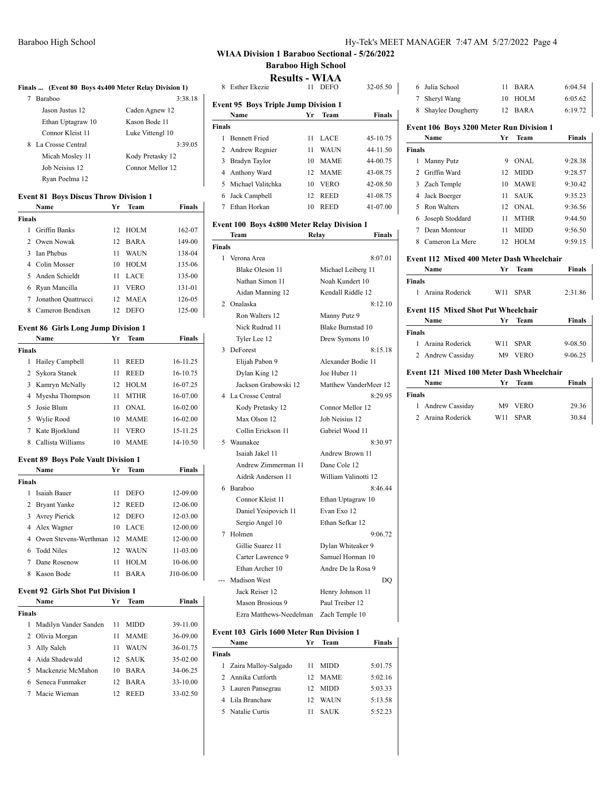Ryan Poelma 12

**Finals**

**Finals**

**Event 81 Boys Discus Throw Division 1**

**Name Yr Team Finals**

**Name Yr Team Finals**

 Hailey Campbell 11 REED 16-11.25 Sykora Stanek 11 REED 16-10.75 Kamryn McNally 12 HOLM 16-07.25 Myesha Thompson 11 MTHR 16-07.00 Josie Blum 11 ONAL 16-02.00 Wylie Rood 10 MAME 16-02.00 Kate Bjorklund 11 VERO 15-11.25 Callista Williams 10 MAME 14-10.50

 Griffin Banks 12 HOLM 162-07 Owen Nowak 12 BARA 149-00 Ian Phebus 11 WAUN 138-04 Colin Mosser 10 HOLM 135-06 Anden Schieldt 11 LACE 135-00 Ryan Mancilla 11 VERO 131-01 Jonathon Quattrucci 12 MAEA 126-05 Cameron Bendixen 12 DEFO 125-00

**Finals ... (Event 80 Boys 4x400 Meter Relay Division 1)** 7 Baraboo 3:38.18 Jason Justus 12 Caden Agnew 12 Ethan Uptagraw 10 Kason Bode 11 Connor Kleist 11 Luke Vittengl 10 8 La Crosse Central 3:39.05 Micah Mosley 11 Kody Pretasky 12 Job Neisius 12 Connor Mellor 12

| Hy-Tek's MEET MANAGER 7:47 AM 5/27/2022 Page 4 |  |  |  |
|------------------------------------------------|--|--|--|
|------------------------------------------------|--|--|--|

## **WIAA Division 1 Baraboo Sectional - 5/26/2022 Baraboo High School**

**Results - WIAA**

| Esther Ekezie                               | 11 | <b>DEFO</b>  | 32-05.50      |  |  |  |  |
|---------------------------------------------|----|--------------|---------------|--|--|--|--|
| <b>Event 95 Boys Triple Jump Division 1</b> |    |              |               |  |  |  |  |
| Name                                        | Yr | Team         | <b>Finals</b> |  |  |  |  |
| <b>Finals</b>                               |    |              |               |  |  |  |  |
| <b>Bennett Fried</b>                        | 11 | LACE         | 45-10.75      |  |  |  |  |
| 2 Andrew Regnier                            | 11 | <b>WAI</b> N | 44-11.50      |  |  |  |  |
| Bradyn Taylor                               | 10 | <b>MAME</b>  | 44-00.75      |  |  |  |  |
| Anthony Ward                                |    |              | 43-08.75      |  |  |  |  |
| 5 Michael Valitchka                         | 10 | <b>VERO</b>  | 42-08.50      |  |  |  |  |
| Jack Campbell                               | 12 | <b>REED</b>  | 41-08.75      |  |  |  |  |
| Ethan Horkan                                | 10 | <b>REED</b>  | 41-07.00      |  |  |  |  |
|                                             |    |              | 12 MAME       |  |  |  |  |

### **Event 100 Boys 4x800 Meter Relay Division 1**

|                          | Team                    | Finals<br>Relay       |    |
|--------------------------|-------------------------|-----------------------|----|
| <b>Finals</b>            |                         |                       |    |
|                          | 1 Verona Area           | 8:07.01               |    |
|                          | Blake Oleson 11         | Michael Leiberg 11    |    |
|                          | Nathan Simon 11         | Noah Kundert 10       |    |
|                          | Aidan Manning 12        | Kendall Riddle 12     |    |
| $\mathfrak{D}$           | Onalaska                | 8:12.10               |    |
|                          | Ron Walters 12          | Manny Putz 9          |    |
|                          | Nick Rudrud 11          | Blake Burnstad 10     |    |
|                          | Tyler Lee 12            | Drew Symons 10        |    |
| 3                        | DeForest                | 8:15.18               |    |
|                          | Elijah Pabon 9          | Alexander Bodie 11    |    |
|                          | Dylan King 12           | Joe Huber 11          |    |
|                          | Jackson Grabowski 12    | Matthew VanderMeer 12 |    |
| 4                        | La Crosse Central       | 8:29.95               |    |
|                          | Kody Pretasky 12        | Connor Mellor 12      |    |
|                          | Max Olson 12            | Job Neisius 12        |    |
|                          | Collin Erickson 11      | Gabriel Wood 11       |    |
| $\overline{\phantom{0}}$ | Waunakee                | 8:30.97               |    |
|                          | Isaiah Jakel 11         | Andrew Brown 11       |    |
|                          | Andrew Zimmerman 11     | Dane Cole 12          |    |
|                          | Aidrik Anderson 11      | William Valinotti 12  |    |
| 6                        | Baraboo                 | 8:46.44               |    |
|                          | Connor Kleist 11        | Ethan Uptagraw 10     |    |
|                          | Daniel Yesipovich 11    | Evan Exo 12           |    |
|                          | Sergio Angel 10         | Ethan Sefkar 12       |    |
| 7                        | Holmen                  | 9:06.72               |    |
|                          | Gillie Suarez 11        | Dylan Whiteaker 9     |    |
|                          | Carter Lawrence 9       | Samuel Horman 10      |    |
|                          | Ethan Archer 10         | Andre De la Rosa 9    |    |
|                          | <b>Madison West</b>     |                       | DO |
|                          | Jack Reiser 12          | Henry Johnson 11      |    |
|                          | Mason Brosious 9        | Paul Treiber 12       |    |
|                          | Ezra Matthews-Needelman | Zach Temple 10        |    |

#### **Event 103 Girls 1600 Meter Run Division 1**

| Name                   | Vг | Team          | <b>Finals</b> |
|------------------------|----|---------------|---------------|
| Finals                 |    |               |               |
| 1 Zaira Malloy-Salgado | 11 | MIDD          | 5:01.75       |
| 2 Annika Cutforth      | 12 | <b>MAME</b>   | 5:02.16       |
| 3 Lauren Pansegrau     | 12 | <b>MIDD</b>   | 5:03.33       |
| 4 Lila Branchaw        | 12 | <b>WAI</b> IN | 5:13.58       |
| 5 Natalie Curtis       | 11 | <b>SAUK</b>   | 5:52.23       |
|                        |    |               |               |

|  | 6 Julia School      | 11 RARA | 6:04.54 |
|--|---------------------|---------|---------|
|  | 7 Sheryl Wang       | 10 HOLM | 6:05.62 |
|  | 8 Shaylee Dougherty | 12 BARA | 6:19.72 |

### **Event 106 Boys 3200 Meter Run Division 1**

|               | Name              | Vг | <b>Team</b> | Finals  |
|---------------|-------------------|----|-------------|---------|
| <b>Finals</b> |                   |    |             |         |
| 1             | Manny Putz        | 9  | ONAL.       | 9:28.38 |
| $\mathcal{D}$ | Griffin Ward      | 12 | <b>MIDD</b> | 9:28.57 |
|               | 3 Zach Temple     | 10 | <b>MAWE</b> | 9:30.42 |
| 4             | Jack Boerger      | 11 | <b>SAUK</b> | 9:35.23 |
|               | Ron Walters       | 12 | ONAL        | 9:36.56 |
|               | 6 Joseph Stoddard | 11 | <b>MTHR</b> | 9:44.50 |
|               | Dean Montour      | 11 | <b>MIDD</b> | 9:56.50 |
| 8             | Cameron La Mere   | 12 | <b>HOLM</b> | 9:59.15 |
|               |                   |    |             |         |

### **Event 112 Mixed 400 Meter Dash Wheelchair**

|                                           | Name              | Yr             | Team        | <b>Finals</b> |  |  |
|-------------------------------------------|-------------------|----------------|-------------|---------------|--|--|
| Finals                                    |                   |                |             |               |  |  |
| 1.                                        | Araina Roderick   | W11            | <b>SPAR</b> | 2:31.86       |  |  |
| Event 115 Mixed Shot Put Wheelchair       |                   |                |             |               |  |  |
|                                           | Name              | Yr.            | Team        | Finals        |  |  |
| Finals                                    |                   |                |             |               |  |  |
| 1.                                        | Araina Roderick   | W11            | <b>SPAR</b> | 9-08.50       |  |  |
|                                           | 2 Andrew Cassiday | M <sup>9</sup> | <b>VERO</b> | 9-06.25       |  |  |
| Event 121 Mixed 100 Meter Dash Wheelchair |                   |                |             |               |  |  |
|                                           | Name              | Yr.            | <b>Team</b> | Finals        |  |  |
| Finals                                    |                   |                |             |               |  |  |
| 1                                         | Andrew Cassiday   | M <sup>9</sup> | VERO        | 29.36         |  |  |
| $2^{\circ}$                               | Araina Roderick   | W11            | <b>SPAR</b> | 30.84         |  |  |
|                                           |                   |                |             |               |  |  |

#### **Event 89 Boys Pole Vault Division 1**

**Event 86 Girls Long Jump Division 1**

|               | <b>Name</b>                   | Yr | <b>Team</b> | <b>Finals</b> |  |  |
|---------------|-------------------------------|----|-------------|---------------|--|--|
| <b>Finals</b> |                               |    |             |               |  |  |
|               | Isaiah Bauer                  | 11 | <b>DEFO</b> | 12-09.00      |  |  |
|               | 2 Bryant Yanke                | 12 | <b>REED</b> | 12-06.00      |  |  |
| 3             | Avrey Pierick                 | 12 | <b>DEFO</b> | 12-03.00      |  |  |
|               | 4 Alex Wagner                 | 10 | LACE        | 12-00.00      |  |  |
|               | Owen Stevens-Werthman 12 MAME |    |             | 12-00.00      |  |  |
|               | 6 Todd Niles                  | 12 | WAUN        | 11-03.00      |  |  |
|               | Dane Rosenow                  | 11 | <b>HOLM</b> | 10-06.00      |  |  |
|               | 8 Kason Bode                  | 11 | <b>BARA</b> | J10-06.00     |  |  |

#### **Event 92 Girls Shot Put Division 1**

|               | Name                  | Vr  | Team        | Finals   |  |  |
|---------------|-----------------------|-----|-------------|----------|--|--|
| <b>Finals</b> |                       |     |             |          |  |  |
| 1             | Madilyn Vander Sanden | 11  | <b>MIDD</b> | 39-11.00 |  |  |
|               | 2 Olivia Morgan       | 11  | <b>MAME</b> | 36-09.00 |  |  |
| 3             | Ally Saleh            | 11  | WAUN        | 36-01.75 |  |  |
|               | 4 Aida Shadewald      | 12. | <b>SAUK</b> | 35-02.00 |  |  |
|               | 5 Mackenzie McMahon   | 10  | <b>BARA</b> | 34-06.25 |  |  |
|               | 6 Seneca Funmaker     | 12  | <b>BARA</b> | 33-10.00 |  |  |
|               | Macie Wieman          | 12  | <b>REED</b> | 33-02.50 |  |  |